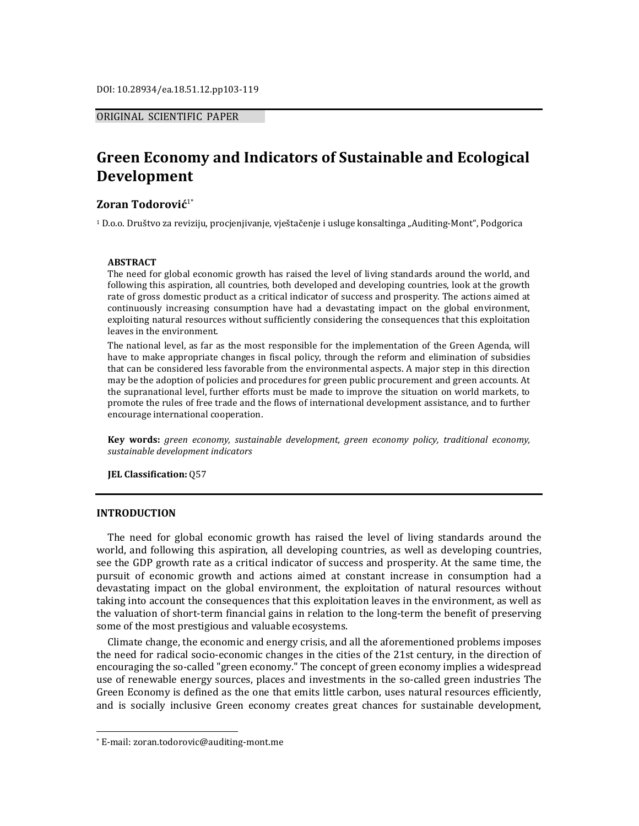## ORIGINAL SCIENTIFIC PAPER

# **Green Economy and Indicators of Sustainable and Ecological Development**

#### **Zoran Todorović**1\*

<sup>1</sup> D.o.o. Društvo za reviziju, procjenjivanje, vještačenje i usluge konsaltinga "Auditing-Mont", Podgorica

#### **ABSTRACT**

The need for global economic growth has raised the level of living standards around the world, and following this aspiration, all countries, both developed and developing countries, look at the growth rate of gross domestic product as a critical indicator of success and prosperity. The actions aimed at continuously increasing consumption have had a devastating impact on the global environment, exploiting natural resources without sufficiently considering the consequences that this exploitation leaves in the environment.

The national level, as far as the most responsible for the implementation of the Green Agenda, will have to make appropriate changes in fiscal policy, through the reform and elimination of subsidies that can be considered less favorable from the environmental aspects. A major step in this direction may be the adoption of policies and procedures for green public procurement and green accounts. At the supranational level, further efforts must be made to improve the situation on world markets, to promote the rules of free trade and the flows of international development assistance, and to further encourage international cooperation.

**Key words:** *green economy, sustainable development, green economy policy, traditional economy, sustainable development indicators* 

**JEL Classification:** Q57

#### **INTRODUCTION**

 $\overline{a}$ 

The need for global economic growth has raised the level of living standards around the world, and following this aspiration, all developing countries, as well as developing countries, see the GDP growth rate as a critical indicator of success and prosperity. At the same time, the pursuit of economic growth and actions aimed at constant increase in consumption had a devastating impact on the global environment, the exploitation of natural resources without taking into account the consequences that this exploitation leaves in the environment, as well as the valuation of short-term financial gains in relation to the long-term the benefit of preserving some of the most prestigious and valuable ecosystems.

Climate change, the economic and energy crisis, and all the aforementioned problems imposes the need for radical socio-economic changes in the cities of the 21st century, in the direction of encouraging the so-called "green economy." The concept of green economy implies a widespread use of renewable energy sources, places and investments in the so-called green industries The Green Economy is defined as the one that emits little carbon, uses natural resources efficiently, and is socially inclusive Green economy creates great chances for sustainable development,

<sup>\*</sup> E-mail: zoran.todorovic@auditing-mont.me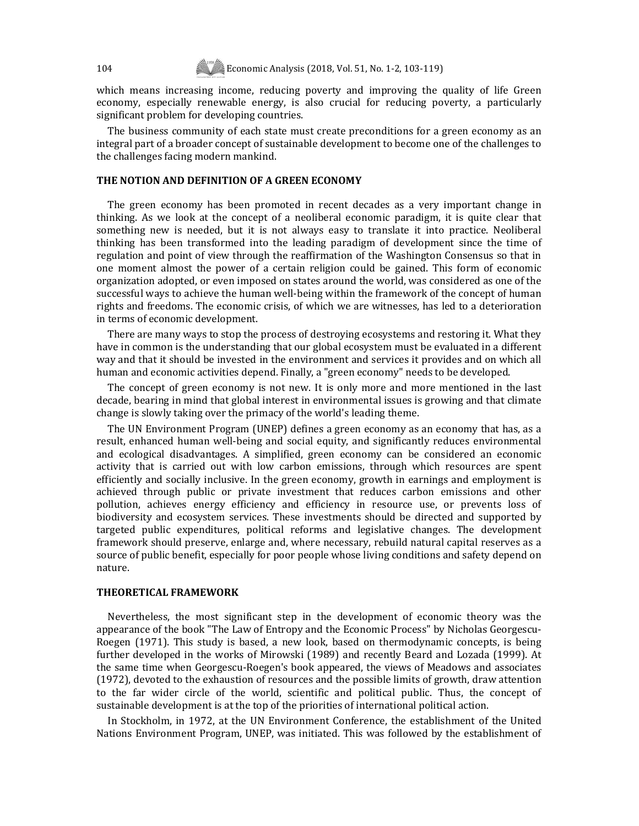which means increasing income, reducing poverty and improving the quality of life Green economy, especially renewable energy, is also crucial for reducing poverty, a particularly significant problem for developing countries.

The business community of each state must create preconditions for a green economy as an integral part of a broader concept of sustainable development to become one of the challenges to the challenges facing modern mankind.

#### **THE NOTION AND DEFINITION OF A GREEN ECONOMY**

The green economy has been promoted in recent decades as a very important change in thinking. As we look at the concept of a neoliberal economic paradigm, it is quite clear that something new is needed, but it is not always easy to translate it into practice. Neoliberal thinking has been transformed into the leading paradigm of development since the time of regulation and point of view through the reaffirmation of the Washington Consensus so that in one moment almost the power of a certain religion could be gained. This form of economic organization adopted, or even imposed on states around the world, was considered as one of the successful ways to achieve the human well-being within the framework of the concept of human rights and freedoms. The economic crisis, of which we are witnesses, has led to a deterioration in terms of economic development.

There are many ways to stop the process of destroying ecosystems and restoring it. What they have in common is the understanding that our global ecosystem must be evaluated in a different way and that it should be invested in the environment and services it provides and on which all human and economic activities depend. Finally, a "green economy" needs to be developed.

The concept of green economy is not new. It is only more and more mentioned in the last decade, bearing in mind that global interest in environmental issues is growing and that climate change is slowly taking over the primacy of the world's leading theme.

The UN Environment Program (UNEP) defines a green economy as an economy that has, as a result, enhanced human well-being and social equity, and significantly reduces environmental and ecological disadvantages. A simplified, green economy can be considered an economic activity that is carried out with low carbon emissions, through which resources are spent efficiently and socially inclusive. In the green economy, growth in earnings and employment is achieved through public or private investment that reduces carbon emissions and other pollution, achieves energy efficiency and efficiency in resource use, or prevents loss of biodiversity and ecosystem services. These investments should be directed and supported by targeted public expenditures, political reforms and legislative changes. The development framework should preserve, enlarge and, where necessary, rebuild natural capital reserves as a source of public benefit, especially for poor people whose living conditions and safety depend on nature.

#### **THEORETICAL FRAMEWORK**

Nevertheless, the most significant step in the development of economic theory was the appearance of the book "The Law of Entropy and the Economic Process" by Nicholas Georgescu-Roegen (1971). This study is based, a new look, based on thermodynamic concepts, is being further developed in the works of Mirowski (1989) and recently Beard and Lozada (1999). At the same time when Georgescu-Roegen's book appeared, the views of Meadows and associates (1972), devoted to the exhaustion of resources and the possible limits of growth, draw attention to the far wider circle of the world, scientific and political public. Thus, the concept of sustainable development is at the top of the priorities of international political action.

In Stockholm, in 1972, at the UN Environment Conference, the establishment of the United Nations Environment Program, UNEP, was initiated. This was followed by the establishment of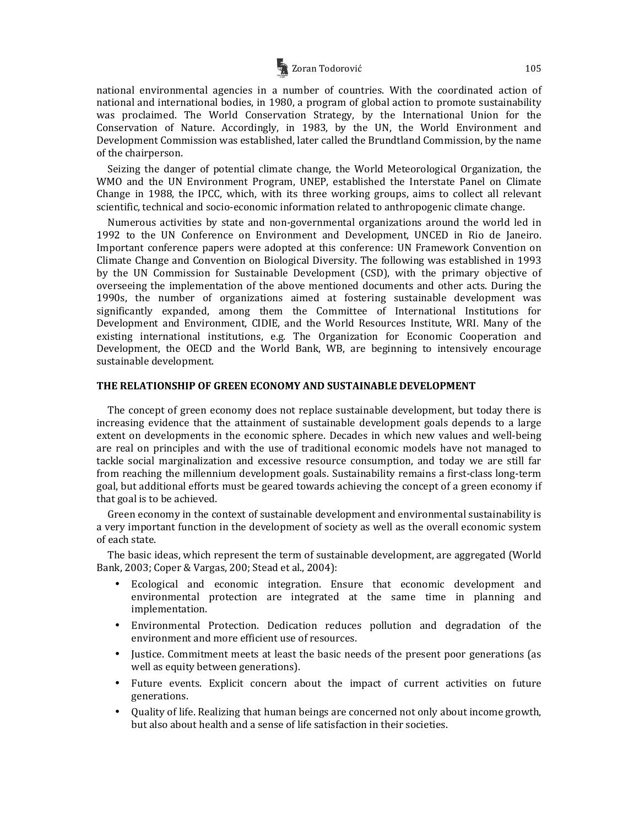

national environmental agencies in a number of countries. With the coordinated action of national and international bodies, in 1980, a program of global action to promote sustainability was proclaimed. The World Conservation Strategy, by the International Union for the Conservation of Nature. Accordingly, in 1983, by the UN, the World Environment and Development Commission was established, later called the Brundtland Commission, by the name of the chairperson.

Seizing the danger of potential climate change, the World Meteorological Organization, the WMO and the UN Environment Program, UNEP, established the Interstate Panel on Climate Change in 1988, the IPCC, which, with its three working groups, aims to collect all relevant scientific, technical and socio-economic information related to anthropogenic climate change.

Numerous activities by state and non-governmental organizations around the world led in 1992 to the UN Conference on Environment and Development, UNCED in Rio de Janeiro. Important conference papers were adopted at this conference: UN Framework Convention on Climate Change and Convention on Biological Diversity. The following was established in 1993 by the UN Commission for Sustainable Development (CSD), with the primary objective of overseeing the implementation of the above mentioned documents and other acts. During the 1990s, the number of organizations aimed at fostering sustainable development was significantly expanded, among them the Committee of International Institutions for Development and Environment, CIDIE, and the World Resources Institute, WRI. Many of the existing international institutions, e.g. The Organization for Economic Cooperation and Development, the OECD and the World Bank, WB, are beginning to intensively encourage sustainable development.

#### **THE RELATIONSHIP OF GREEN ECONOMY AND SUSTAINABLE DEVELOPMENT**

The concept of green economy does not replace sustainable development, but today there is increasing evidence that the attainment of sustainable development goals depends to a large extent on developments in the economic sphere. Decades in which new values and well-being are real on principles and with the use of traditional economic models have not managed to tackle social marginalization and excessive resource consumption, and today we are still far from reaching the millennium development goals. Sustainability remains a first-class long-term goal, but additional efforts must be geared towards achieving the concept of a green economy if that goal is to be achieved.

Green economy in the context of sustainable development and environmental sustainability is a very important function in the development of society as well as the overall economic system of each state.

The basic ideas, which represent the term of sustainable development, are aggregated (World Bank, 2003; Coper & Vargas, 200; Stead et al., 2004):

- Ecological and economic integration. Ensure that economic development and environmental protection are integrated at the same time in planning and implementation.
- Environmental Protection. Dedication reduces pollution and degradation of the environment and more efficient use of resources.
- Justice. Commitment meets at least the basic needs of the present poor generations (as well as equity between generations).
- Future events. Explicit concern about the impact of current activities on future generations.
- Quality of life. Realizing that human beings are concerned not only about income growth, but also about health and a sense of life satisfaction in their societies.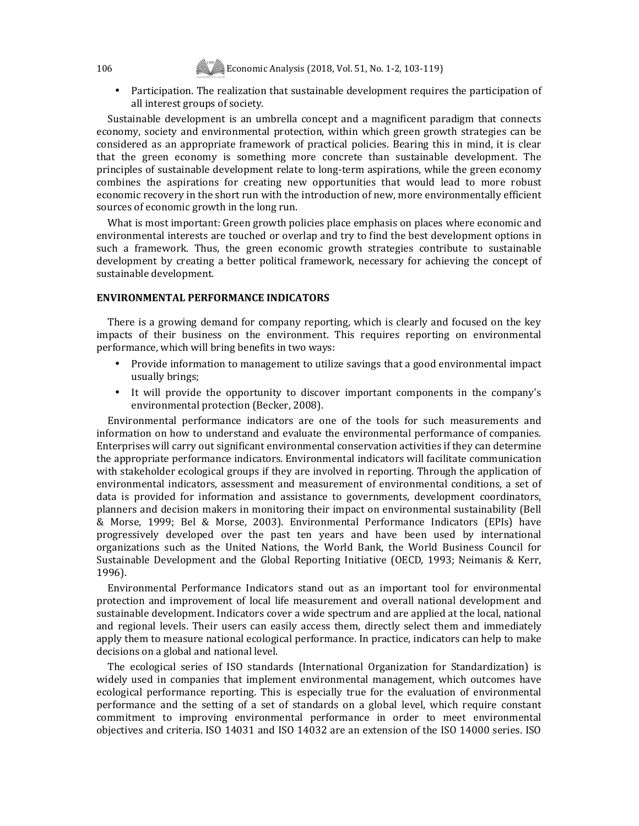• Participation. The realization that sustainable development requires the participation of all interest groups of society.

Sustainable development is an umbrella concept and a magnificent paradigm that connects economy, society and environmental protection, within which green growth strategies can be considered as an appropriate framework of practical policies. Bearing this in mind, it is clear that the green economy is something more concrete than sustainable development. The principles of sustainable development relate to long-term aspirations, while the green economy combines the aspirations for creating new opportunities that would lead to more robust economic recovery in the short run with the introduction of new, more environmentally efficient sources of economic growth in the long run.

What is most important: Green growth policies place emphasis on places where economic and environmental interests are touched or overlap and try to find the best development options in such a framework. Thus, the green economic growth strategies contribute to sustainable development by creating a better political framework, necessary for achieving the concept of sustainable development.

#### **ENVIRONMENTAL PERFORMANCE INDICATORS**

There is a growing demand for company reporting, which is clearly and focused on the key impacts of their business on the environment. This requires reporting on environmental performance, which will bring benefits in two ways:

- Provide information to management to utilize savings that a good environmental impact usually brings;
- It will provide the opportunity to discover important components in the company's environmental protection (Becker, 2008).

Environmental performance indicators are one of the tools for such measurements and information on how to understand and evaluate the environmental performance of companies. Enterprises will carry out significant environmental conservation activities if they can determine the appropriate performance indicators. Environmental indicators will facilitate communication with stakeholder ecological groups if they are involved in reporting. Through the application of environmental indicators, assessment and measurement of environmental conditions, a set of data is provided for information and assistance to governments, development coordinators, planners and decision makers in monitoring their impact on environmental sustainability (Bell & Morse, 1999; Bel & Morse, 2003). Environmental Performance Indicators (EPIs) have progressively developed over the past ten years and have been used by international organizations such as the United Nations, the World Bank, the World Business Council for Sustainable Development and the Global Reporting Initiative (OECD, 1993; Neimanis & Kerr, 1996).

Environmental Performance Indicators stand out as an important tool for environmental protection and improvement of local life measurement and overall national development and sustainable development. Indicators cover a wide spectrum and are applied at the local, national and regional levels. Their users can easily access them, directly select them and immediately apply them to measure national ecological performance. In practice, indicators can help to make decisions on a global and national level.

The ecological series of ISO standards (International Organization for Standardization) is widely used in companies that implement environmental management, which outcomes have ecological performance reporting. This is especially true for the evaluation of environmental performance and the setting of a set of standards on a global level, which require constant commitment to improving environmental performance in order to meet environmental objectives and criteria. ISO 14031 and ISO 14032 are an extension of the ISO 14000 series. ISO

106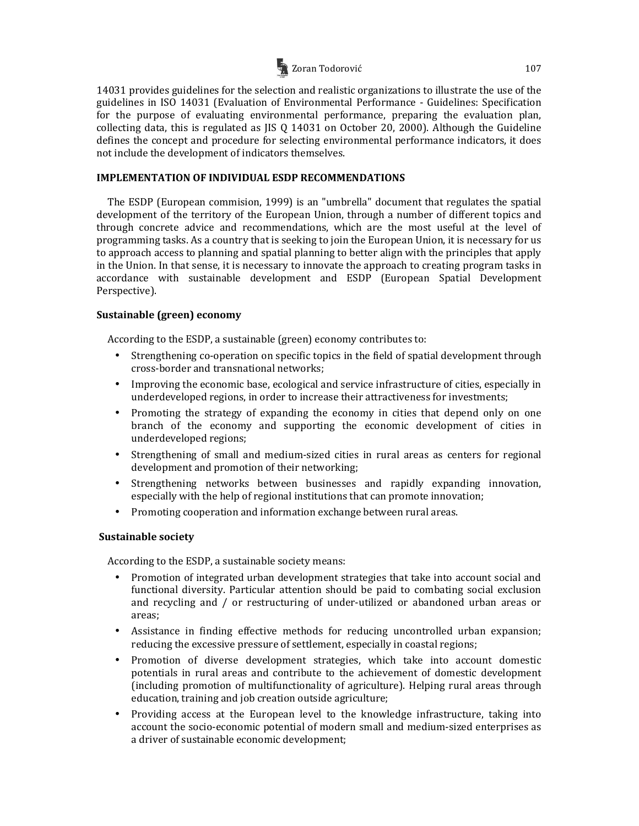

14031 provides guidelines for the selection and realistic organizations to illustrate the use of the guidelines in ISO 14031 (Evaluation of Environmental Performance - Guidelines: Specification for the purpose of evaluating environmental performance, preparing the evaluation plan, collecting data, this is regulated as JIS Q 14031 on October 20, 2000). Although the Guideline defines the concept and procedure for selecting environmental performance indicators, it does not include the development of indicators themselves.

## **IMPLEMENTATION OF INDIVIDUAL ESDP RECOMMENDATIONS**

The ESDP (European commision, 1999) is an "umbrella" document that regulates the spatial development of the territory of the European Union, through a number of different topics and through concrete advice and recommendations, which are the most useful at the level of programming tasks. As a country that is seeking to join the European Union, it is necessary for us to approach access to planning and spatial planning to better align with the principles that apply in the Union. In that sense, it is necessary to innovate the approach to creating program tasks in accordance with sustainable development and ESDP (European Spatial Development Perspective).

# **Sustainable (green) economy**

According to the ESDP, a sustainable (green) economy contributes to:

- Strengthening co-operation on specific topics in the field of spatial development through cross-border and transnational networks;
- Improving the economic base, ecological and service infrastructure of cities, especially in underdeveloped regions, in order to increase their attractiveness for investments;
- Promoting the strategy of expanding the economy in cities that depend only on one branch of the economy and supporting the economic development of cities in underdeveloped regions;
- Strengthening of small and medium-sized cities in rural areas as centers for regional development and promotion of their networking;
- Strengthening networks between businesses and rapidly expanding innovation, especially with the help of regional institutions that can promote innovation;
- Promoting cooperation and information exchange between rural areas.

# **Sustainable society**

According to the ESDP, a sustainable society means:

- Promotion of integrated urban development strategies that take into account social and functional diversity. Particular attention should be paid to combating social exclusion and recycling and / or restructuring of under-utilized or abandoned urban areas or areas;
- Assistance in finding effective methods for reducing uncontrolled urban expansion; reducing the excessive pressure of settlement, especially in coastal regions;
- Promotion of diverse development strategies, which take into account domestic potentials in rural areas and contribute to the achievement of domestic development (including promotion of multifunctionality of agriculture). Helping rural areas through education, training and job creation outside agriculture;
- Providing access at the European level to the knowledge infrastructure, taking into account the socio-economic potential of modern small and medium-sized enterprises as a driver of sustainable economic development;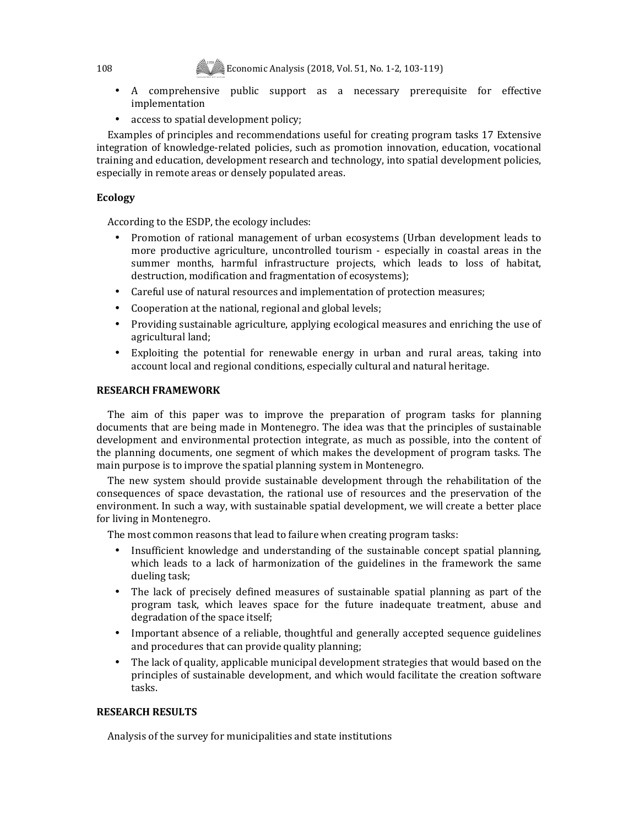- A comprehensive public support as a necessary prerequisite for effective implementation
- access to spatial development policy;

Examples of principles and recommendations useful for creating program tasks 17 Extensive integration of knowledge-related policies, such as promotion innovation, education, vocational training and education, development research and technology, into spatial development policies, especially in remote areas or densely populated areas.

# **Ecology**

According to the ESDP, the ecology includes:

- Promotion of rational management of urban ecosystems (Urban development leads to more productive agriculture, uncontrolled tourism - especially in coastal areas in the summer months, harmful infrastructure projects, which leads to loss of habitat, destruction, modification and fragmentation of ecosystems);
- Careful use of natural resources and implementation of protection measures;
- Cooperation at the national, regional and global levels;
- Providing sustainable agriculture, applying ecological measures and enriching the use of agricultural land;
- Exploiting the potential for renewable energy in urban and rural areas, taking into account local and regional conditions, especially cultural and natural heritage.

# **RESEARCH FRAMEWORK**

The aim of this paper was to improve the preparation of program tasks for planning documents that are being made in Montenegro. The idea was that the principles of sustainable development and environmental protection integrate, as much as possible, into the content of the planning documents, one segment of which makes the development of program tasks. The main purpose is to improve the spatial planning system in Montenegro.

The new system should provide sustainable development through the rehabilitation of the consequences of space devastation, the rational use of resources and the preservation of the environment. In such a way, with sustainable spatial development, we will create a better place for living in Montenegro.

The most common reasons that lead to failure when creating program tasks:

- Insufficient knowledge and understanding of the sustainable concept spatial planning, which leads to a lack of harmonization of the guidelines in the framework the same dueling task;
- The lack of precisely defined measures of sustainable spatial planning as part of the program task, which leaves space for the future inadequate treatment, abuse and degradation of the space itself;
- Important absence of a reliable, thoughtful and generally accepted sequence guidelines and procedures that can provide quality planning;
- The lack of quality, applicable municipal development strategies that would based on the principles of sustainable development, and which would facilitate the creation software tasks.

# **RESEARCH RESULTS**

Analysis of the survey for municipalities and state institutions

108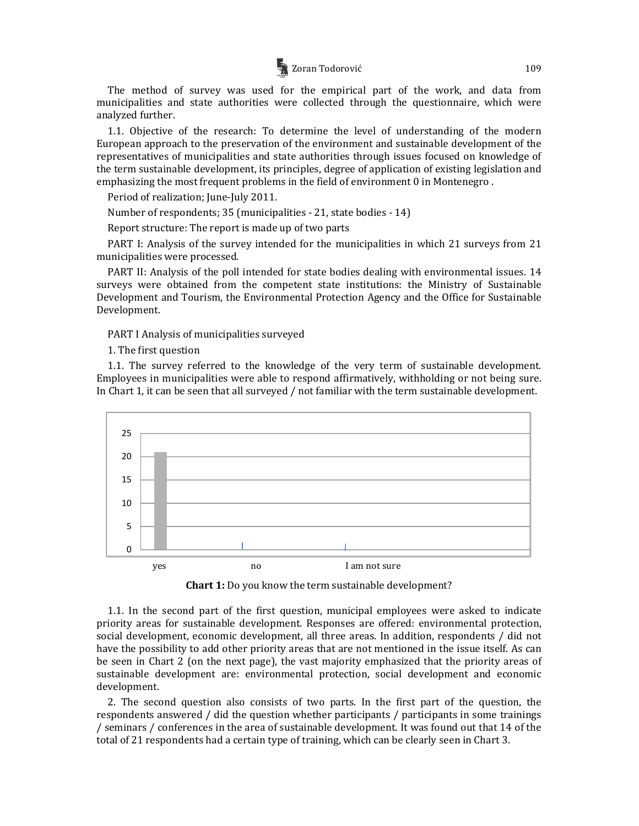

The method of survey was used for the empirical part of the work, and data from municipalities and state authorities were collected through the questionnaire, which were analyzed further.

1.1. Objective of the research: To determine the level of understanding of the modern European approach to the preservation of the environment and sustainable development of the representatives of municipalities and state authorities through issues focused on knowledge of the term sustainable development, its principles, degree of application of existing legislation and emphasizing the most frequent problems in the field of environment 0 in Montenegro .

Period of realization; June-July 2011.

Number of respondents; 35 (municipalities - 21, state bodies - 14)

Report structure: The report is made up of two parts

PART I: Analysis of the survey intended for the municipalities in which 21 surveys from 21 municipalities were processed.

PART II: Analysis of the poll intended for state bodies dealing with environmental issues. 14 surveys were obtained from the competent state institutions: the Ministry of Sustainable Development and Tourism, the Environmental Protection Agency and the Office for Sustainable Development.

PART I Analysis of municipalities surveyed

1. The first question

1.1. The survey referred to the knowledge of the very term of sustainable development. Employees in municipalities were able to respond affirmatively, withholding or not being sure. In Chart 1, it can be seen that all surveyed / not familiar with the term sustainable development.



**Chart 1:** Do you know the term sustainable development?

1.1. In the second part of the first question, municipal employees were asked to indicate priority areas for sustainable development. Responses are offered: environmental protection, social development, economic development, all three areas. In addition, respondents / did not have the possibility to add other priority areas that are not mentioned in the issue itself. As can be seen in Chart 2 (on the next page), the vast majority emphasized that the priority areas of sustainable development are: environmental protection, social development and economic development.

2. The second question also consists of two parts. In the first part of the question, the respondents answered / did the question whether participants / participants in some trainings / seminars / conferences in the area of sustainable development. It was found out that 14 of the total of 21 respondents had a certain type of training, which can be clearly seen in Chart 3.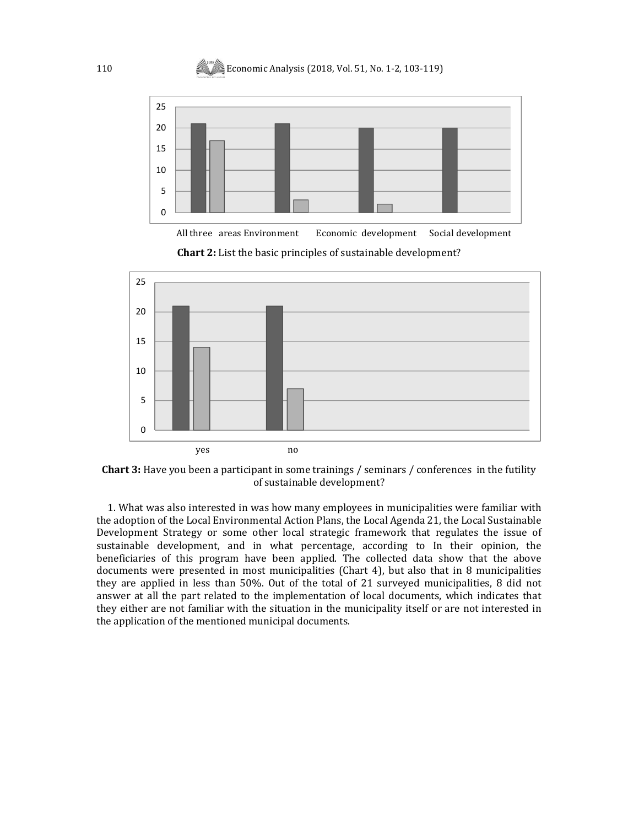

All three areas Environment Economic development Social development

**Chart 2:** List the basic principles of sustainable development?





1. What was also interested in was how many employees in municipalities were familiar with the adoption of the Local Environmental Action Plans, the Local Agenda 21, the Local Sustainable Development Strategy or some other local strategic framework that regulates the issue of sustainable development, and in what percentage, according to In their opinion, the beneficiaries of this program have been applied. The collected data show that the above documents were presented in most municipalities (Chart 4), but also that in 8 municipalities they are applied in less than 50%. Out of the total of 21 surveyed municipalities, 8 did not answer at all the part related to the implementation of local documents, which indicates that they either are not familiar with the situation in the municipality itself or are not interested in the application of the mentioned municipal documents.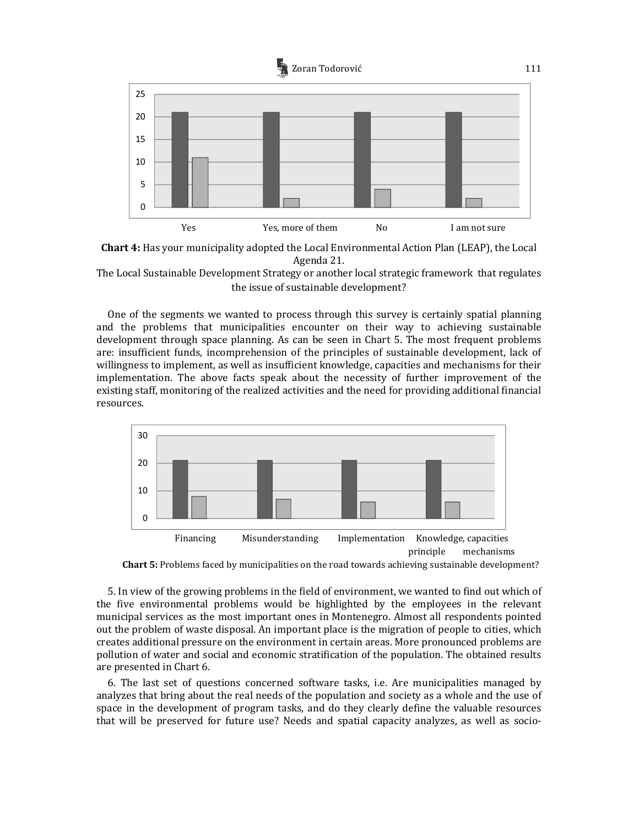



The Local Sustainable Development Strategy or another local strategic framework that regulates the issue of sustainable development?

One of the segments we wanted to process through this survey is certainly spatial planning and the problems that municipalities encounter on their way to achieving sustainable development through space planning. As can be seen in Chart 5. The most frequent problems are: insufficient funds, incomprehension of the principles of sustainable development, lack of willingness to implement, as well as insufficient knowledge, capacities and mechanisms for their implementation. The above facts speak about the necessity of further improvement of the existing staff, monitoring of the realized activities and the need for providing additional financial resources.





5. In view of the growing problems in the field of environment, we wanted to find out which of the five environmental problems would be highlighted by the employees in the relevant municipal services as the most important ones in Montenegro. Almost all respondents pointed out the problem of waste disposal. An important place is the migration of people to cities, which creates additional pressure on the environment in certain areas. More pronounced problems are pollution of water and social and economic stratification of the population. The obtained results are presented in Chart 6.

6. The last set of questions concerned software tasks, i.e. Are municipalities managed by analyzes that bring about the real needs of the population and society as a whole and the use of space in the development of program tasks, and do they clearly define the valuable resources that will be preserved for future use? Needs and spatial capacity analyzes, as well as socio-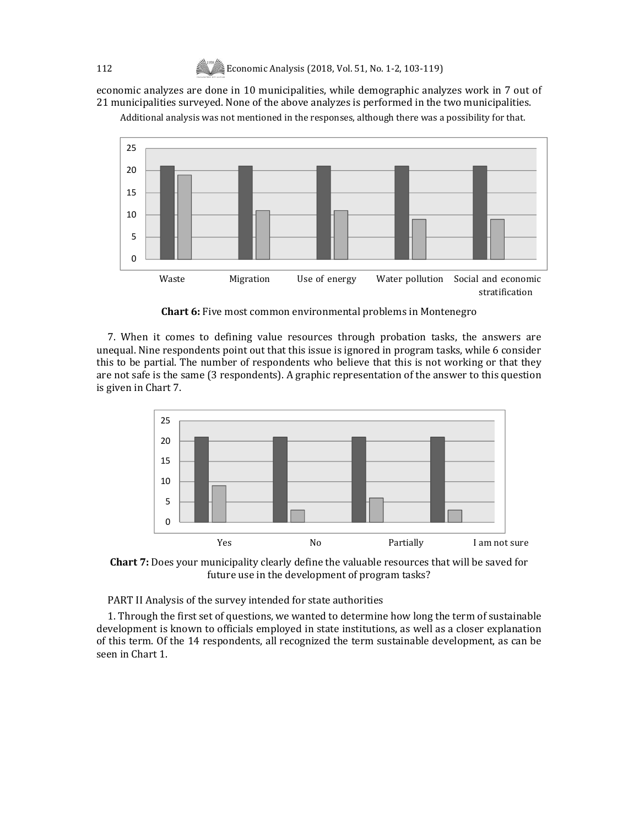economic analyzes are done in 10 municipalities, while demographic analyzes work in 7 out of 21 municipalities surveyed. None of the above analyzes is performed in the two municipalities.

Additional analysis was not mentioned in the responses, although there was a possibility for that.



**Chart 6:** Five most common environmental problems in Montenegro

7. When it comes to defining value resources through probation tasks, the answers are unequal. Nine respondents point out that this issue is ignored in program tasks, while 6 consider this to be partial. The number of respondents who believe that this is not working or that they are not safe is the same (3 respondents). A graphic representation of the answer to this question is given in Chart 7.



**Chart 7:** Does your municipality clearly define the valuable resources that will be saved for future use in the development of program tasks?

PART II Analysis of the survey intended for state authorities

1. Through the first set of questions, we wanted to determine how long the term of sustainable development is known to officials employed in state institutions, as well as a closer explanation of this term. Of the 14 respondents, all recognized the term sustainable development, as can be seen in Chart 1.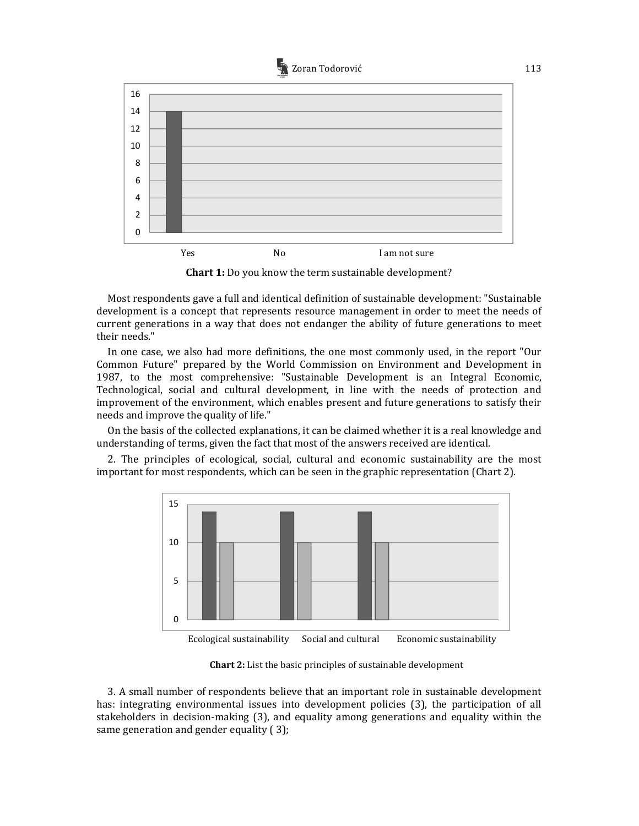



**Chart 1:** Do you know the term sustainable development?

Most respondents gave a full and identical definition of sustainable development: "Sustainable development is a concept that represents resource management in order to meet the needs of current generations in a way that does not endanger the ability of future generations to meet their needs."

In one case, we also had more definitions, the one most commonly used, in the report "Our Common Future" prepared by the World Commission on Environment and Development in 1987, to the most comprehensive: "Sustainable Development is an Integral Economic, Technological, social and cultural development, in line with the needs of protection and improvement of the environment, which enables present and future generations to satisfy their needs and improve the quality of life."

On the basis of the collected explanations, it can be claimed whether it is a real knowledge and understanding of terms, given the fact that most of the answers received are identical.

2. The principles of ecological, social, cultural and economic sustainability are the most important for most respondents, which can be seen in the graphic representation (Chart 2).



**Chart 2:** List the basic principles of sustainable development

3. A small number of respondents believe that an important role in sustainable development has: integrating environmental issues into development policies (3), the participation of all stakeholders in decision-making (3), and equality among generations and equality within the same generation and gender equality ( 3);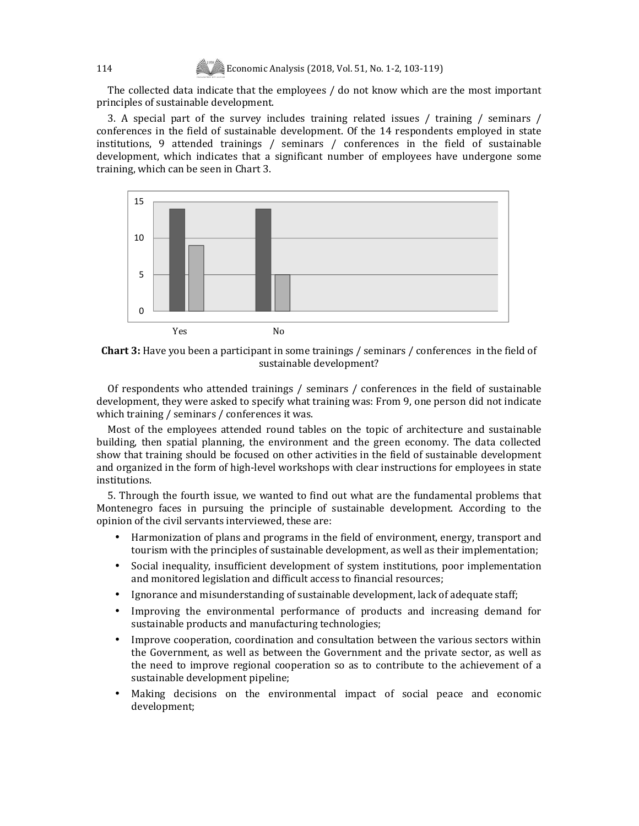The collected data indicate that the employees / do not know which are the most important principles of sustainable development.

3. A special part of the survey includes training related issues / training / seminars / conferences in the field of sustainable development. Of the 14 respondents employed in state institutions, 9 attended trainings / seminars / conferences in the field of sustainable development, which indicates that a significant number of employees have undergone some training, which can be seen in Chart 3.



**Chart 3:** Have you been a participant in some trainings / seminars / conferences in the field of sustainable development?

Of respondents who attended trainings / seminars / conferences in the field of sustainable development, they were asked to specify what training was: From 9, one person did not indicate which training / seminars / conferences it was.

Most of the employees attended round tables on the topic of architecture and sustainable building, then spatial planning, the environment and the green economy. The data collected show that training should be focused on other activities in the field of sustainable development and organized in the form of high-level workshops with clear instructions for employees in state institutions.

5. Through the fourth issue, we wanted to find out what are the fundamental problems that Montenegro faces in pursuing the principle of sustainable development. According to the opinion of the civil servants interviewed, these are:

- Harmonization of plans and programs in the field of environment, energy, transport and tourism with the principles of sustainable development, as well as their implementation;
- Social inequality, insufficient development of system institutions, poor implementation and monitored legislation and difficult access to financial resources;
- Ignorance and misunderstanding of sustainable development, lack of adequate staff;
- Improving the environmental performance of products and increasing demand for sustainable products and manufacturing technologies;
- Improve cooperation, coordination and consultation between the various sectors within the Government, as well as between the Government and the private sector, as well as the need to improve regional cooperation so as to contribute to the achievement of a sustainable development pipeline;
- Making decisions on the environmental impact of social peace and economic development;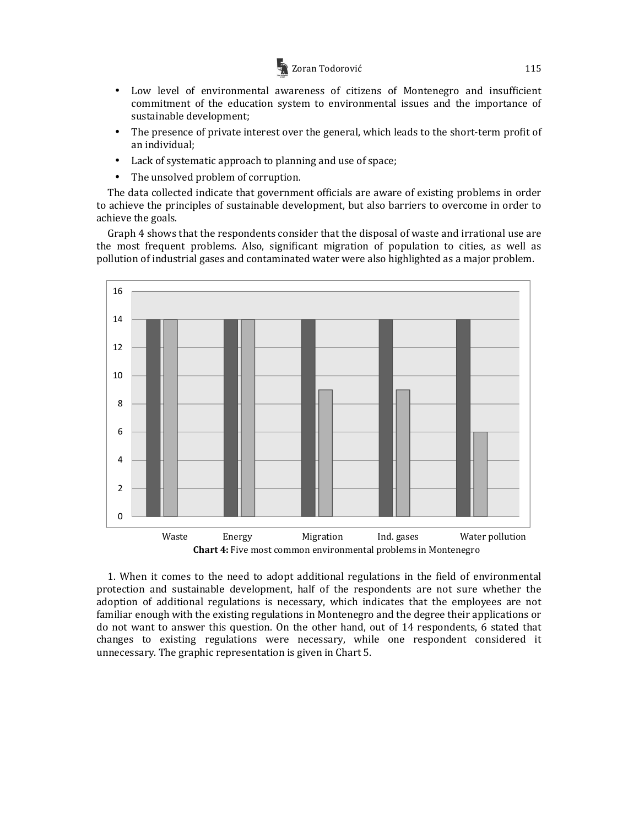

- Low level of environmental awareness of citizens of Montenegro and insufficient commitment of the education system to environmental issues and the importance of sustainable development;
- The presence of private interest over the general, which leads to the short-term profit of an individual;
- Lack of systematic approach to planning and use of space;
- The unsolved problem of corruption.

The data collected indicate that government officials are aware of existing problems in order to achieve the principles of sustainable development, but also barriers to overcome in order to achieve the goals.

Graph 4 shows that the respondents consider that the disposal of waste and irrational use are the most frequent problems. Also, significant migration of population to cities, as well as pollution of industrial gases and contaminated water were also highlighted as a major problem.



1. When it comes to the need to adopt additional regulations in the field of environmental protection and sustainable development, half of the respondents are not sure whether the adoption of additional regulations is necessary, which indicates that the employees are not familiar enough with the existing regulations in Montenegro and the degree their applications or do not want to answer this question. On the other hand, out of 14 respondents, 6 stated that changes to existing regulations were necessary, while one respondent considered it unnecessary. The graphic representation is given in Chart 5.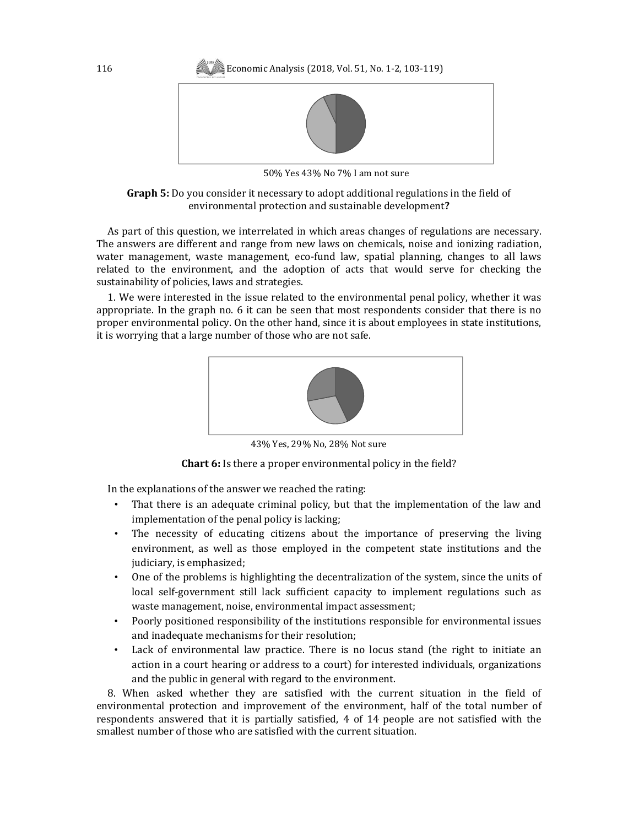

50% Yes 43% No 7% I am not sure

**Graph 5:** Do you consider it necessary to adopt additional regulations in the field of environmental protection and sustainable development**?** 

As part of this question, we interrelated in which areas changes of regulations are necessary. The answers are different and range from new laws on chemicals, noise and ionizing radiation, water management, waste management, eco-fund law, spatial planning, changes to all laws related to the environment, and the adoption of acts that would serve for checking the sustainability of policies, laws and strategies.

1. We were interested in the issue related to the environmental penal policy, whether it was appropriate. In the graph no. 6 it can be seen that most respondents consider that there is no proper environmental policy. On the other hand, since it is about employees in state institutions, it is worrying that a large number of those who are not safe.



43% Yes, 29% No, 28% Not sure

**Chart 6:** Is there a proper environmental policy in the field?

In the explanations of the answer we reached the rating:

- That there is an adequate criminal policy, but that the implementation of the law and implementation of the penal policy is lacking;
- The necessity of educating citizens about the importance of preserving the living environment, as well as those employed in the competent state institutions and the judiciary, is emphasized;
- One of the problems is highlighting the decentralization of the system, since the units of local self-government still lack sufficient capacity to implement regulations such as waste management, noise, environmental impact assessment;
- Poorly positioned responsibility of the institutions responsible for environmental issues and inadequate mechanisms for their resolution;
- Lack of environmental law practice. There is no locus stand (the right to initiate an action in a court hearing or address to a court) for interested individuals, organizations and the public in general with regard to the environment.

8. When asked whether they are satisfied with the current situation in the field of environmental protection and improvement of the environment, half of the total number of respondents answered that it is partially satisfied, 4 of 14 people are not satisfied with the smallest number of those who are satisfied with the current situation.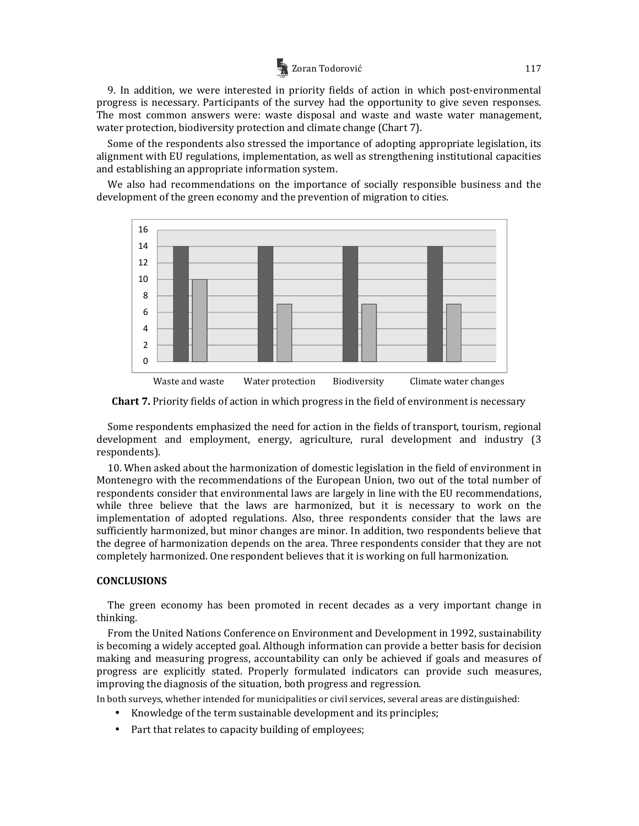# Zoran Todorović 117

9. In addition, we were interested in priority fields of action in which post-environmental progress is necessary. Participants of the survey had the opportunity to give seven responses. The most common answers were: waste disposal and waste and waste water management, water protection, biodiversity protection and climate change (Chart 7).

Some of the respondents also stressed the importance of adopting appropriate legislation, its alignment with EU regulations, implementation, as well as strengthening institutional capacities and establishing an appropriate information system.

We also had recommendations on the importance of socially responsible business and the development of the green economy and the prevention of migration to cities.



**Chart 7.** Priority fields of action in which progress in the field of environment is necessary

Some respondents emphasized the need for action in the fields of transport, tourism, regional development and employment, energy, agriculture, rural development and industry (3 respondents).

10. When asked about the harmonization of domestic legislation in the field of environment in Montenegro with the recommendations of the European Union, two out of the total number of respondents consider that environmental laws are largely in line with the EU recommendations, while three believe that the laws are harmonized, but it is necessary to work on the implementation of adopted regulations. Also, three respondents consider that the laws are sufficiently harmonized, but minor changes are minor. In addition, two respondents believe that the degree of harmonization depends on the area. Three respondents consider that they are not completely harmonized. One respondent believes that it is working on full harmonization.

# **CONCLUSIONS**

The green economy has been promoted in recent decades as a very important change in thinking.

From the United Nations Conference on Environment and Development in 1992, sustainability is becoming a widely accepted goal. Although information can provide a better basis for decision making and measuring progress, accountability can only be achieved if goals and measures of progress are explicitly stated. Properly formulated indicators can provide such measures, improving the diagnosis of the situation, both progress and regression.

In both surveys, whether intended for municipalities or civil services, several areas are distinguished:

- Knowledge of the term sustainable development and its principles;
- Part that relates to capacity building of employees;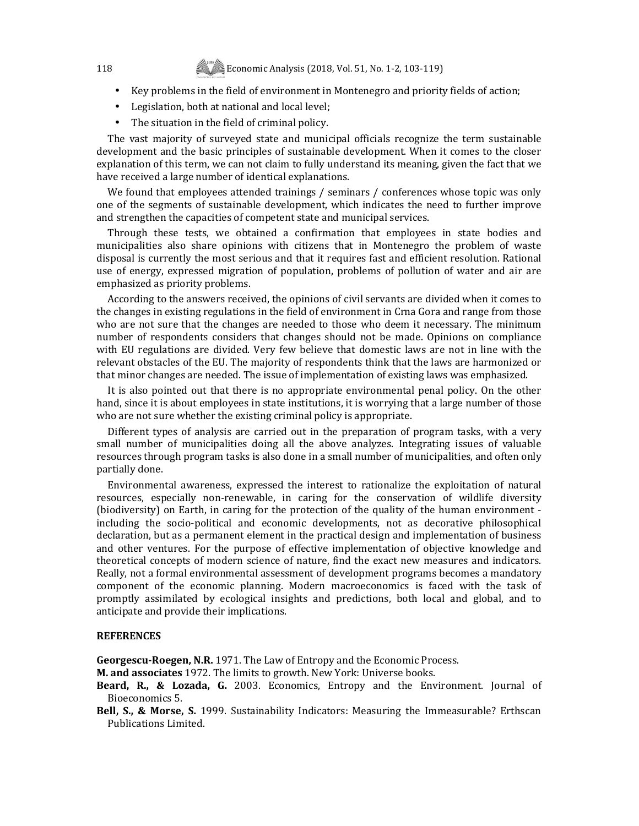- Key problems in the field of environment in Montenegro and priority fields of action;
- Legislation, both at national and local level;
- The situation in the field of criminal policy.

The vast majority of surveyed state and municipal officials recognize the term sustainable development and the basic principles of sustainable development. When it comes to the closer explanation of this term, we can not claim to fully understand its meaning, given the fact that we have received a large number of identical explanations.

We found that employees attended trainings / seminars / conferences whose topic was only one of the segments of sustainable development, which indicates the need to further improve and strengthen the capacities of competent state and municipal services.

Through these tests, we obtained a confirmation that employees in state bodies and municipalities also share opinions with citizens that in Montenegro the problem of waste disposal is currently the most serious and that it requires fast and efficient resolution. Rational use of energy, expressed migration of population, problems of pollution of water and air are emphasized as priority problems.

According to the answers received, the opinions of civil servants are divided when it comes to the changes in existing regulations in the field of environment in Crna Gora and range from those who are not sure that the changes are needed to those who deem it necessary. The minimum number of respondents considers that changes should not be made. Opinions on compliance with EU regulations are divided. Very few believe that domestic laws are not in line with the relevant obstacles of the EU. The majority of respondents think that the laws are harmonized or that minor changes are needed. The issue of implementation of existing laws was emphasized.

It is also pointed out that there is no appropriate environmental penal policy. On the other hand, since it is about employees in state institutions, it is worrying that a large number of those who are not sure whether the existing criminal policy is appropriate.

Different types of analysis are carried out in the preparation of program tasks, with a very small number of municipalities doing all the above analyzes. Integrating issues of valuable resources through program tasks is also done in a small number of municipalities, and often only partially done.

Environmental awareness, expressed the interest to rationalize the exploitation of natural resources, especially non-renewable, in caring for the conservation of wildlife diversity (biodiversity) on Earth, in caring for the protection of the quality of the human environment including the socio-political and economic developments, not as decorative philosophical declaration, but as a permanent element in the practical design and implementation of business and other ventures. For the purpose of effective implementation of objective knowledge and theoretical concepts of modern science of nature, find the exact new measures and indicators. Really, not a formal environmental assessment of development programs becomes a mandatory component of the economic planning. Modern macroeconomics is faced with the task of promptly assimilated by ecological insights and predictions, both local and global, and to anticipate and provide their implications.

#### **REFERENCES**

**Georgescu-Roegen, N.R.** 1971. The Law of Entropy and the Economic Process.

**M. and associates** 1972. The limits to growth. New York: Universe books.

- **Beard, R., & Lozada, G.** 2003. Economics, Entropy and the Environment. Journal of Bioeconomics 5.
- **Bell, S., & Morse, S.** 1999. Sustainability Indicators: Measuring the Immeasurable? Erthscan Publications Limited.

118